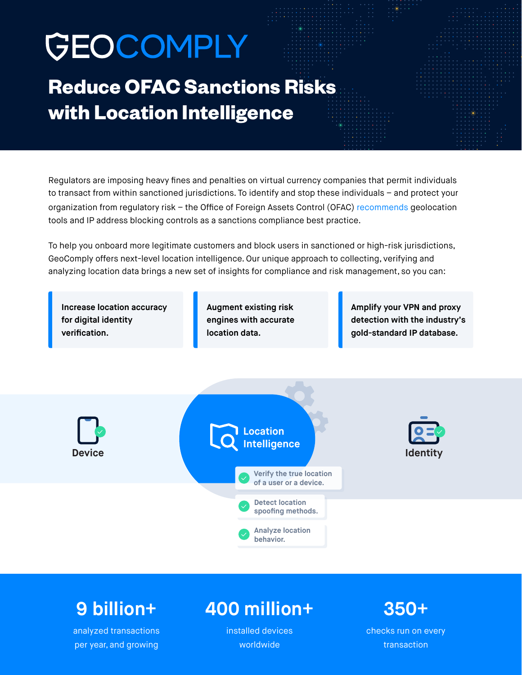# GEOCOMPLY

# **Reduce OFAC Sanctions Risks with Location Intelligence**

Regulators are imposing heavy fines and penalties on virtual currency companies that permit individuals to transact from within sanctioned jurisdictions. To identify and stop these individuals – and protect your organization from regulatory risk – the Office of Foreign Assets Control (OFAC) [recommends](https://home.treasury.gov/system/files/126/virtual_currency_guidance_brochure.pdf) geolocation tools and IP address blocking controls as a sanctions compliance best practice.

To help you onboard more legitimate customers and block users in sanctioned or high-risk jurisdictions, GeoComply offers next-level location intelligence. Our unique approach to collecting, verifying and analyzing location data brings a new set of insights for compliance and risk management, so you can:

**Increase location accuracy for digital identity verification.**

**Augment existing risk engines with accurate location data.**

**Amplify your VPN and proxy detection with the industry's gold-standard IP database.**



## **9 billion+**

analyzed transactions per year, and growing

## **400 million+**

installed devices worldwide

## **350+**

checks run on every transaction